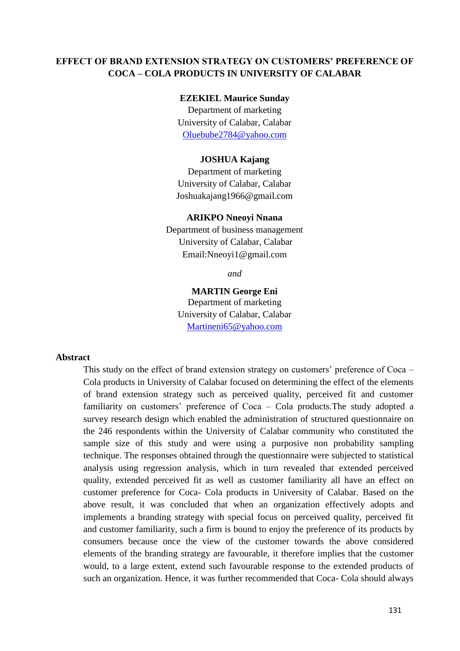## **EFFECT OF BRAND EXTENSION STRATEGY ON CUSTOMERS' PREFERENCE OF COCA – COLA PRODUCTS IN UNIVERSITY OF CALABAR**

#### **EZEKIEL Maurice Sunday**

Department of marketing University of Calabar, Calabar [Oluebube2784@yahoo.com](mailto:Oluebube2784@yahoo.com)

#### **JOSHUA Kajang**

Department of marketing University of Calabar, Calabar Joshuakajang1966@gmail.com

#### **ARIKPO Nneoyi Nnana**

Department of business management University of Calabar, Calabar Email:Nneoyi1@gmail.com

*and*

### **MARTIN George Eni**

Department of marketing University of Calabar, Calabar [Martineni65@yahoo.com](mailto:Martineni65@yahoo.com)

#### **Abstract**

This study on the effect of brand extension strategy on customers' preference of Coca – Cola products in University of Calabar focused on determining the effect of the elements of brand extension strategy such as perceived quality, perceived fit and customer familiarity on customers' preference of Coca – Cola products.The study adopted a survey research design which enabled the administration of structured questionnaire on the 246 respondents within the University of Calabar community who constituted the sample size of this study and were using a purposive non probability sampling technique. The responses obtained through the questionnaire were subjected to statistical analysis using regression analysis, which in turn revealed that extended perceived quality, extended perceived fit as well as customer familiarity all have an effect on customer preference for Coca- Cola products in University of Calabar. Based on the above result, it was concluded that when an organization effectively adopts and implements a branding strategy with special focus on perceived quality, perceived fit and customer familiarity, such a firm is bound to enjoy the preference of its products by consumers because once the view of the customer towards the above considered elements of the branding strategy are favourable, it therefore implies that the customer would, to a large extent, extend such favourable response to the extended products of such an organization. Hence, it was further recommended that Coca- Cola should always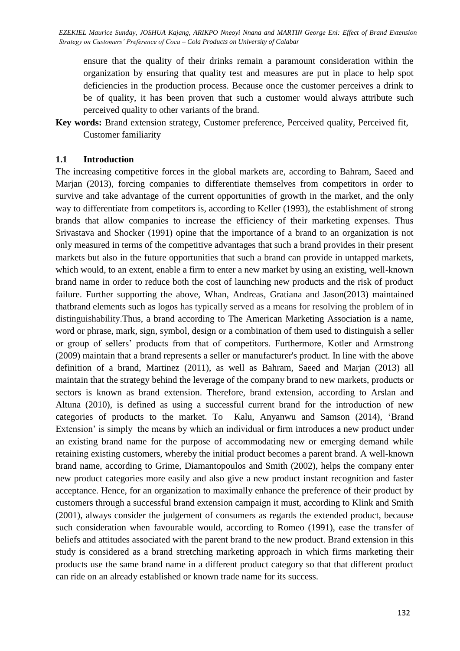ensure that the quality of their drinks remain a paramount consideration within the organization by ensuring that quality test and measures are put in place to help spot deficiencies in the production process. Because once the customer perceives a drink to be of quality, it has been proven that such a customer would always attribute such perceived quality to other variants of the brand.

**Key words:** Brand extension strategy, Customer preference, Perceived quality, Perceived fit, Customer familiarity

### **1.1 Introduction**

The increasing competitive forces in the global markets are, according to Bahram, Saeed and Marjan (2013), forcing companies to differentiate themselves from competitors in order to survive and take advantage of the current opportunities of growth in the market, and the only way to differentiate from competitors is, according to Keller (1993), the establishment of strong brands that allow companies to increase the efficiency of their marketing expenses. Thus Srivastava and Shocker (1991) opine that the importance of a brand to an organization is not only measured in terms of the competitive advantages that such a brand provides in their present markets but also in the future opportunities that such a brand can provide in untapped markets, which would, to an extent, enable a firm to enter a new market by using an existing, well-known brand name in order to reduce both the cost of launching new products and the risk of product failure. Further supporting the above, Whan, Andreas, Gratiana and Jason(2013) maintained thatbrand elements such as logos has typically served as a means for resolving the problem of in distinguishability.Thus, a brand according to The American Marketing Association is a name, word or phrase, mark, sign, symbol, design or a combination of them used to distinguish a seller or group of sellers' products from that of competitors. Furthermore, Kotler and Armstrong (2009) maintain that a brand represents a seller or manufacturer's product. In line with the above definition of a brand, Martinez (2011), as well as Bahram, Saeed and Marjan (2013) all maintain that the strategy behind the leverage of the company brand to new markets, products or sectors is known as brand extension. Therefore, brand extension, according to Arslan and Altuna (2010), is defined as using a successful current brand for the introduction of new categories of products to the market. To Kalu, Anyanwu and Samson (2014), 'Brand Extension' is simply the means by which an individual or firm introduces a new product under an existing brand name for the purpose of accommodating new or emerging demand while retaining existing customers, whereby the initial product becomes a parent brand. A well-known brand name, according to Grime, Diamantopoulos and Smith (2002), helps the company enter new product categories more easily and also give a new product instant recognition and faster acceptance. Hence, for an organization to maximally enhance the preference of their product by customers through a successful brand extension campaign it must, according to Klink and Smith (2001), always consider the judgement of consumers as regards the extended product, because such consideration when favourable would, according to Romeo (1991), ease the transfer of beliefs and attitudes associated with the parent brand to the new product. Brand extension in this study is considered as a brand stretching marketing approach in which firms marketing their products use the same brand name in a different product category so that that different product can ride on an already established or known trade name for its success.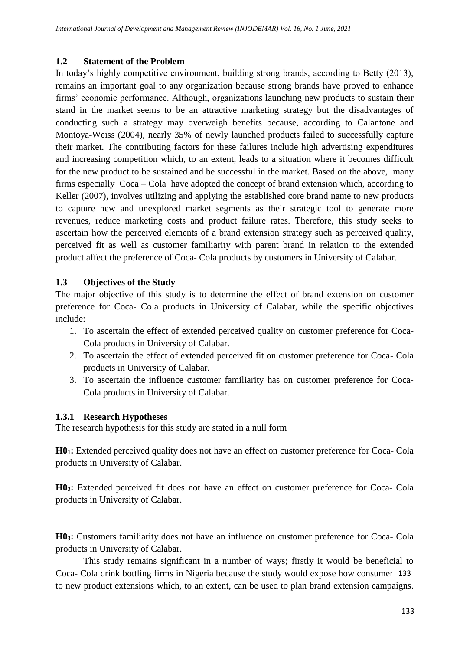## **1.2 Statement of the Problem**

In today's highly competitive environment, building strong brands, according to Betty (2013), remains an important goal to any organization because strong brands have proved to enhance firms' economic performance. Although, organizations launching new products to sustain their stand in the market seems to be an attractive marketing strategy but the disadvantages of conducting such a strategy may overweigh benefits because, according to Calantone and Montoya-Weiss (2004), nearly 35% of newly launched products failed to successfully capture their market. The contributing factors for these failures include high advertising expenditures and increasing competition which, to an extent, leads to a situation where it becomes difficult for the new product to be sustained and be successful in the market. Based on the above, many firms especially Coca – Cola have adopted the concept of brand extension which, according to Keller (2007), involves utilizing and applying the established core brand name to new products to capture new and unexplored market segments as their strategic tool to generate more revenues, reduce marketing costs and product failure rates. Therefore, this study seeks to ascertain how the perceived elements of a brand extension strategy such as perceived quality, perceived fit as well as customer familiarity with parent brand in relation to the extended product affect the preference of Coca- Cola products by customers in University of Calabar.

# **1.3 Objectives of the Study**

The major objective of this study is to determine the effect of brand extension on customer preference for Coca- Cola products in University of Calabar, while the specific objectives include:

- 1. To ascertain the effect of extended perceived quality on customer preference for Coca-Cola products in University of Calabar.
- 2. To ascertain the effect of extended perceived fit on customer preference for Coca- Cola products in University of Calabar.
- 3. To ascertain the influence customer familiarity has on customer preference for Coca-Cola products in University of Calabar.

# **1.3.1 Research Hypotheses**

The research hypothesis for this study are stated in a null form

**H01:** Extended perceived quality does not have an effect on customer preference for Coca- Cola products in University of Calabar.

**H02:** Extended perceived fit does not have an effect on customer preference for Coca- Cola products in University of Calabar.

**H03:** Customers familiarity does not have an influence on customer preference for Coca- Cola products in University of Calabar.

This study remains significant in a number of ways; firstly it would be beneficial to Coca- Cola drink bottling firms in Nigeria because the study would expose how consumer 133 to new product extensions which, to an extent, can be used to plan brand extension campaigns.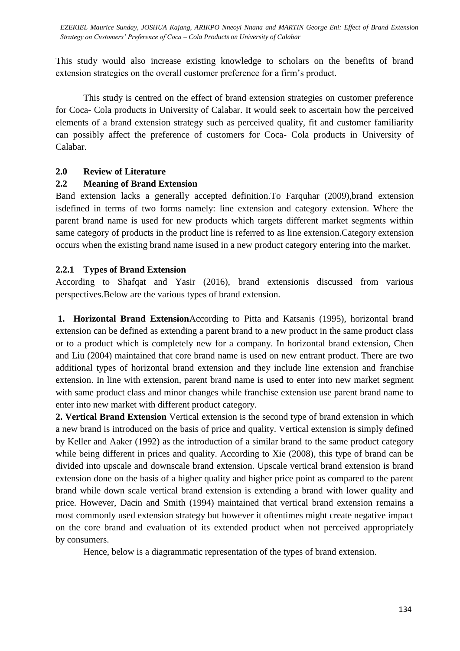This study would also increase existing knowledge to scholars on the benefits of brand extension strategies on the overall customer preference for a firm's product.

This study is centred on the effect of brand extension strategies on customer preference for Coca- Cola products in University of Calabar. It would seek to ascertain how the perceived elements of a brand extension strategy such as perceived quality, fit and customer familiarity can possibly affect the preference of customers for Coca- Cola products in University of Calabar.

### **2.0 Review of Literature**

### **2.2 Meaning of Brand Extension**

Band extension lacks a generally accepted definition.To Farquhar (2009),brand extension isdefined in terms of two forms namely: line extension and category extension. Where the parent brand name is used for new products which targets different market segments within same category of products in the product line is referred to as line extension.Category extension occurs when the existing brand name isused in a new product category entering into the market.

### **2.2.1 Types of Brand Extension**

According to Shafqat and Yasir (2016), brand extensionis discussed from various perspectives.Below are the various types of brand extension.

**1. Horizontal Brand Extension**According to Pitta and Katsanis (1995), horizontal brand extension can be defined as extending a parent brand to a new product in the same product class or to a product which is completely new for a company. In horizontal brand extension, Chen and Liu (2004) maintained that core brand name is used on new entrant product. There are two additional types of horizontal brand extension and they include line extension and franchise extension. In line with extension, parent brand name is used to enter into new market segment with same product class and minor changes while franchise extension use parent brand name to enter into new market with different product category.

**2. Vertical Brand Extension** Vertical extension is the second type of brand extension in which a new brand is introduced on the basis of price and quality. Vertical extension is simply defined by Keller and Aaker (1992) as the introduction of a similar brand to the same product category while being different in prices and quality. According to Xie (2008), this type of brand can be divided into upscale and downscale brand extension. Upscale vertical brand extension is brand extension done on the basis of a higher quality and higher price point as compared to the parent brand while down scale vertical brand extension is extending a brand with lower quality and price. However, Dacin and Smith (1994) maintained that vertical brand extension remains a most commonly used extension strategy but however it oftentimes might create negative impact on the core brand and evaluation of its extended product when not perceived appropriately by consumers.

Hence, below is a diagrammatic representation of the types of brand extension.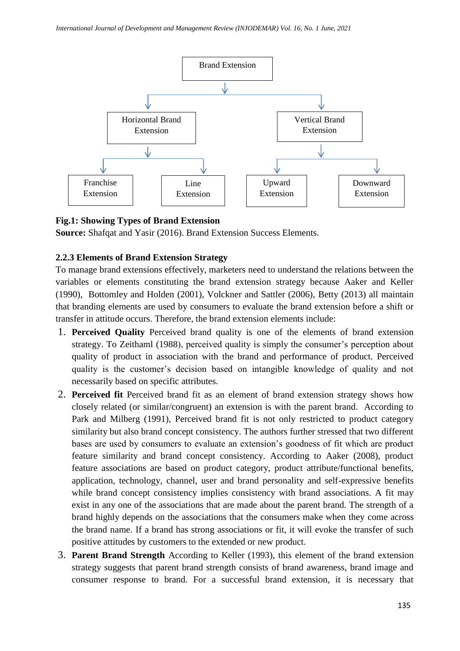

### **Fig.1: Showing Types of Brand Extension**

**Source:** Shafqat and Yasir (2016). Brand Extension Success Elements.

### **2.2.3 Elements of Brand Extension Strategy**

To manage brand extensions effectively, marketers need to understand the relations between the variables or elements constituting the brand extension strategy because Aaker and Keller (1990), Bottomley and Holden (2001), Volckner and Sattler (2006), Betty (2013) all maintain that branding elements are used by consumers to evaluate the brand extension before a shift or transfer in attitude occurs. Therefore, the brand extension elements include:

- 1. **Perceived Quality** Perceived brand quality is one of the elements of brand extension strategy. To Zeithaml (1988), perceived quality is simply the consumer's perception about quality of product in association with the brand and performance of product. Perceived quality is the customer's decision based on intangible knowledge of quality and not necessarily based on specific attributes.
- 2. **Perceived fit** Perceived brand fit as an element of brand extension strategy shows how closely related (or similar/congruent) an extension is with the parent brand. According to Park and Milberg (1991), Perceived brand fit is not only restricted to product category similarity but also brand concept consistency. The authors further stressed that two different bases are used by consumers to evaluate an extension's goodness of fit which are product feature similarity and brand concept consistency. According to Aaker (2008), product feature associations are based on product category, product attribute/functional benefits, application, technology, channel, user and brand personality and self-expressive benefits while brand concept consistency implies consistency with brand associations. A fit may exist in any one of the associations that are made about the parent brand. The strength of a brand highly depends on the associations that the consumers make when they come across the brand name. If a brand has strong associations or fit, it will evoke the transfer of such positive attitudes by customers to the extended or new product.
- 3. **Parent Brand Strength** According to Keller (1993), this element of the brand extension strategy suggests that parent brand strength consists of brand awareness, brand image and consumer response to brand. For a successful brand extension, it is necessary that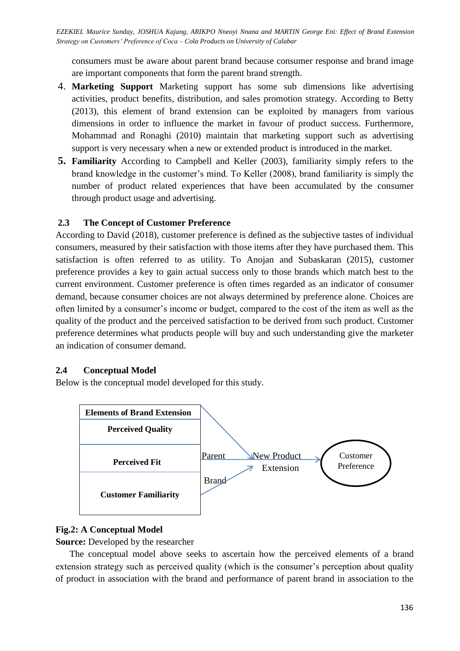consumers must be aware about parent brand because consumer response and brand image are important components that form the parent brand strength.

- 4. **Marketing Support** Marketing support has some sub dimensions like advertising activities, product benefits, distribution, and sales promotion strategy. According to Betty (2013), this element of brand extension can be exploited by managers from various dimensions in order to influence the market in favour of product success. Furthermore, Mohammad and Ronaghi (2010) maintain that marketing support such as advertising support is very necessary when a new or extended product is introduced in the market.
- **5. Familiarity** According to Campbell and Keller (2003), familiarity simply refers to the brand knowledge in the customer's mind. To Keller (2008), brand familiarity is simply the number of product related experiences that have been accumulated by the consumer through product usage and advertising.

## **2.3 The Concept of Customer Preference**

According to David (2018), customer preference is defined as the subjective tastes of individual consumers, measured by their satisfaction with those items after they have purchased them. This satisfaction is often referred to as utility. To Anojan and Subaskaran (2015), customer preference provides a key to gain actual success only to those brands which match best to the current environment. Customer preference is often times regarded as an indicator of consumer demand, because consumer choices are not always determined by preference alone. Choices are often limited by a consumer's income or budget, compared to the cost of the item as well as the quality of the product and the perceived satisfaction to be derived from such product. Customer preference determines what products people will buy and such understanding give the marketer an indication of consumer demand.

## **2.4 Conceptual Model**

Below is the conceptual model developed for this study.



## **Fig.2: A Conceptual Model**

**Source:** Developed by the researcher

The conceptual model above seeks to ascertain how the perceived elements of a brand extension strategy such as perceived quality (which is the consumer's perception about quality of product in association with the brand and performance of parent brand in association to the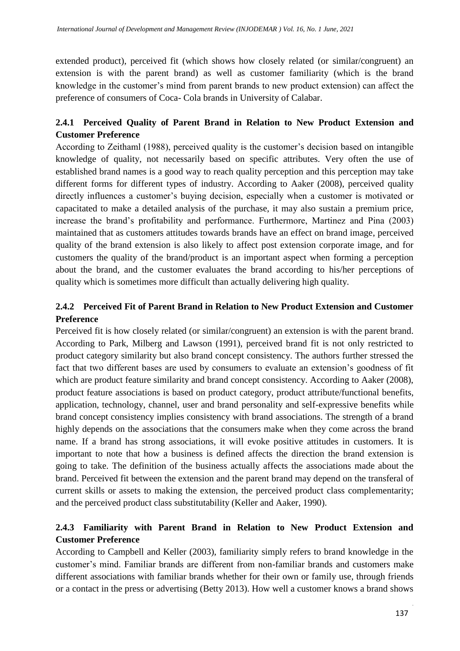extended product), perceived fit (which shows how closely related (or similar/congruent) an extension is with the parent brand) as well as customer familiarity (which is the brand knowledge in the customer's mind from parent brands to new product extension) can affect the preference of consumers of Coca- Cola brands in University of Calabar.

# **2.4.1 Perceived Quality of Parent Brand in Relation to New Product Extension and Customer Preference**

According to Zeithaml (1988), perceived quality is the customer's decision based on intangible knowledge of quality, not necessarily based on specific attributes. Very often the use of established brand names is a good way to reach quality perception and this perception may take different forms for different types of industry. According to Aaker (2008), perceived quality directly influences a customer's buying decision, especially when a customer is motivated or capacitated to make a detailed analysis of the purchase, it may also sustain a premium price, increase the brand's profitability and performance. Furthermore, Martinez and Pina (2003) maintained that as customers attitudes towards brands have an effect on brand image, perceived quality of the brand extension is also likely to affect post extension corporate image, and for customers the quality of the brand/product is an important aspect when forming a perception about the brand, and the customer evaluates the brand according to his/her perceptions of quality which is sometimes more difficult than actually delivering high quality.

## **2.4.2 Perceived Fit of Parent Brand in Relation to New Product Extension and Customer Preference**

Perceived fit is how closely related (or similar/congruent) an extension is with the parent brand. According to Park, Milberg and Lawson (1991), perceived brand fit is not only restricted to product category similarity but also brand concept consistency. The authors further stressed the fact that two different bases are used by consumers to evaluate an extension's goodness of fit which are product feature similarity and brand concept consistency. According to Aaker (2008), product feature associations is based on product category, product attribute/functional benefits, application, technology, channel, user and brand personality and self-expressive benefits while brand concept consistency implies consistency with brand associations. The strength of a brand highly depends on the associations that the consumers make when they come across the brand name. If a brand has strong associations, it will evoke positive attitudes in customers. It is important to note that how a business is defined affects the direction the brand extension is going to take. The definition of the business actually affects the associations made about the brand. Perceived fit between the extension and the parent brand may depend on the transferal of current skills or assets to making the extension, the perceived product class complementarity; and the perceived product class substitutability (Keller and Aaker, 1990).

# **2.4.3 Familiarity with Parent Brand in Relation to New Product Extension and Customer Preference**

According to Campbell and Keller (2003), familiarity simply refers to brand knowledge in the customer's mind. Familiar brands are different from non-familiar brands and customers make different associations with familiar brands whether for their own or family use, through friends or a contact in the press or advertising (Betty 2013). How well a customer knows a brand shows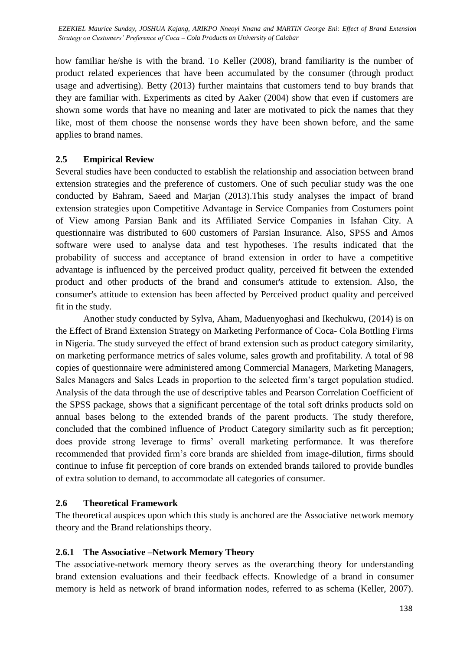how familiar he/she is with the brand. To Keller (2008), brand familiarity is the number of product related experiences that have been accumulated by the consumer (through product usage and advertising). Betty (2013) further maintains that customers tend to buy brands that they are familiar with. Experiments as cited by Aaker (2004) show that even if customers are shown some words that have no meaning and later are motivated to pick the names that they like, most of them choose the nonsense words they have been shown before, and the same applies to brand names.

### **2.5 Empirical Review**

Several studies have been conducted to establish the relationship and association between brand extension strategies and the preference of customers. One of such peculiar study was the one conducted by Bahram, Saeed and Marjan (2013).This study analyses the impact of brand extension strategies upon Competitive Advantage in Service Companies from Costumers point of View among Parsian Bank and its Affiliated Service Companies in Isfahan City. A questionnaire was distributed to 600 customers of Parsian Insurance. Also, SPSS and Amos software were used to analyse data and test hypotheses. The results indicated that the probability of success and acceptance of brand extension in order to have a competitive advantage is influenced by the perceived product quality, perceived fit between the extended product and other products of the brand and consumer's attitude to extension. Also, the consumer's attitude to extension has been affected by Perceived product quality and perceived fit in the study.

Another study conducted by Sylva, Aham, Maduenyoghasi and Ikechukwu, (2014) is on the Effect of Brand Extension Strategy on Marketing Performance of Coca- Cola Bottling Firms in Nigeria. The study surveyed the effect of brand extension such as product category similarity, on marketing performance metrics of sales volume, sales growth and profitability. A total of 98 copies of questionnaire were administered among Commercial Managers, Marketing Managers, Sales Managers and Sales Leads in proportion to the selected firm's target population studied. Analysis of the data through the use of descriptive tables and Pearson Correlation Coefficient of the SPSS package, shows that a significant percentage of the total soft drinks products sold on annual bases belong to the extended brands of the parent products. The study therefore, concluded that the combined influence of Product Category similarity such as fit perception; does provide strong leverage to firms' overall marketing performance. It was therefore recommended that provided firm's core brands are shielded from image-dilution, firms should continue to infuse fit perception of core brands on extended brands tailored to provide bundles of extra solution to demand, to accommodate all categories of consumer.

### **2.6 Theoretical Framework**

The theoretical auspices upon which this study is anchored are the Associative network memory theory and the Brand relationships theory.

## **2.6.1 The Associative –Network Memory Theory**

The associative-network memory theory serves as the overarching theory for understanding brand extension evaluations and their feedback effects. Knowledge of a brand in consumer memory is held as network of brand information nodes, referred to as schema (Keller, 2007).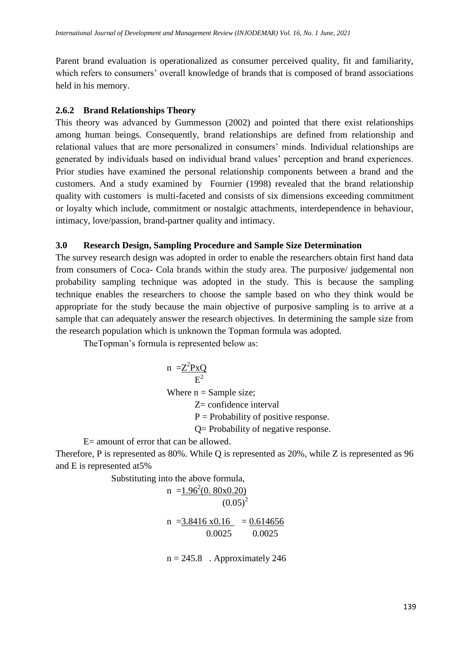Parent brand evaluation is operationalized as consumer perceived quality, fit and familiarity, which refers to consumers' overall knowledge of brands that is composed of brand associations held in his memory.

## **2.6.2 Brand Relationships Theory**

This theory was advanced by Gummesson (2002) and pointed that there exist relationships among human beings. Consequently, brand relationships are defined from relationship and relational values that are more personalized in consumers' minds. Individual relationships are generated by individuals based on individual brand values' perception and brand experiences. Prior studies have examined the personal relationship components between a brand and the customers. And a study examined by Fournier (1998) revealed that the brand relationship quality with customers is multi-faceted and consists of six dimensions exceeding commitment or loyalty which include, commitment or nostalgic attachments, interdependence in behaviour, intimacy, love/passion, brand-partner quality and intimacy.

## **3.0 Research Design, Sampling Procedure and Sample Size Determination**

The survey research design was adopted in order to enable the researchers obtain first hand data from consumers of Coca- Cola brands within the study area. The purposive/ judgemental non probability sampling technique was adopted in the study. This is because the sampling technique enables the researchers to choose the sample based on who they think would be appropriate for the study because the main objective of purposive sampling is to arrive at a sample that can adequately answer the research objectives. In determining the sample size from the research population which is unknown the Topman formula was adopted.

TheTopman's formula is represented below as:

n =
$$
\frac{Z^2PxQ}{E^2}
$$
  
Where n = Sample size;  
Z= confidence interval

 $P =$  Probability of positive response.

Q= Probability of negative response.

E= amount of error that can be allowed.

Therefore, P is represented as 80%. While Q is represented as 20%, while Z is represented as 96 and E is represented at5%

Substituting into the above formula,

n =1.96<sup>2</sup> (0. 80x0.20) (0.05)<sup>2</sup> n =3.8416 x0.16 = 0.614656 0.0025 0.0025

 $n = 245.8$ . Approximately 246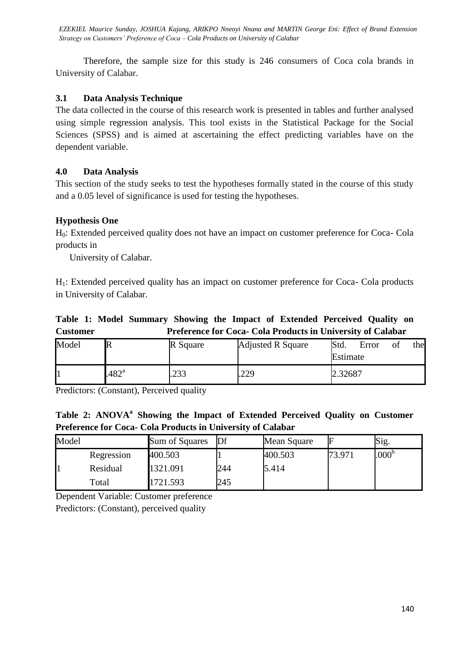Therefore, the sample size for this study is 246 consumers of Coca cola brands in University of Calabar.

## **3.1 Data Analysis Technique**

The data collected in the course of this research work is presented in tables and further analysed using simple regression analysis. This tool exists in the Statistical Package for the Social Sciences (SPSS) and is aimed at ascertaining the effect predicting variables have on the dependent variable.

## **4.0 Data Analysis**

This section of the study seeks to test the hypotheses formally stated in the course of this study and a 0.05 level of significance is used for testing the hypotheses.

## **Hypothesis One**

H0: Extended perceived quality does not have an impact on customer preference for Coca- Cola products in

University of Calabar.

H1: Extended perceived quality has an impact on customer preference for Coca- Cola products in University of Calabar.

**Table 1: Model Summary Showing the Impact of Extended Perceived Quality on Customer Preference for Coca- Cola Products in University of Calabar**

| Model | IN             | R Square      | <b>Adjusted R Square</b> | Std.<br>Estimate | Error | Оİ | thel |
|-------|----------------|---------------|--------------------------|------------------|-------|----|------|
|       | $.482^{\rm a}$ | าวว<br>ل (ب∠. | .229                     | 2.32687          |       |    |      |

Predictors: (Constant), Perceived quality

**Table 2: ANOVA<sup>a</sup> Showing the Impact of Extended Perceived Quality on Customer Preference for Coca- Cola Products in University of Calabar**

| Model |            | Sum of Squares | Df  | Mean Square |        | Sig.           |  |
|-------|------------|----------------|-----|-------------|--------|----------------|--|
|       | Regression | 400.503        |     | 400.503     | 73.971 | $.000^{\rm b}$ |  |
|       | Residual   | 1321.091       | 244 | 5.414       |        |                |  |
|       | Total      | 1721.593       | 245 |             |        |                |  |

Dependent Variable: Customer preference Predictors: (Constant), perceived quality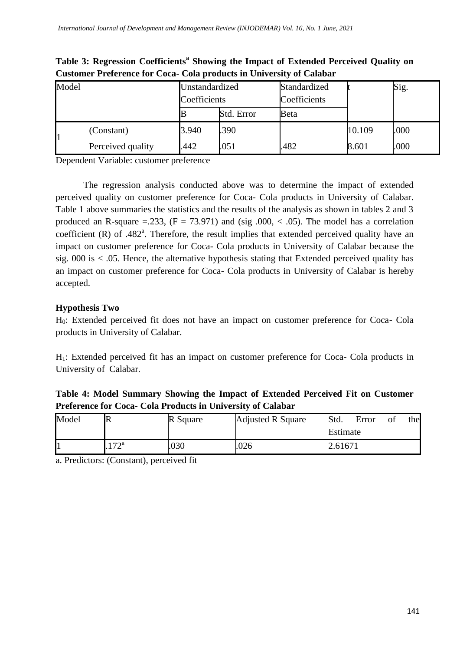| Model |                   | Unstandardized<br>Coefficients |            | Standardized<br>Coefficients |        | Sig. |
|-------|-------------------|--------------------------------|------------|------------------------------|--------|------|
|       |                   |                                | Std. Error | Beta                         |        |      |
|       | (Constant)        | 3.940                          | .390       |                              | 10.109 | .000 |
|       | Perceived quality | 442                            | 051        | 482                          | 8.601  | .000 |

**Table 3: Regression Coefficients<sup>a</sup> Showing the Impact of Extended Perceived Quality on Customer Preference for Coca- Cola products in University of Calabar**

Dependent Variable: customer preference

The regression analysis conducted above was to determine the impact of extended perceived quality on customer preference for Coca- Cola products in University of Calabar. Table 1 above summaries the statistics and the results of the analysis as shown in tables 2 and 3 produced an R-square =.233,  $(F = 73.971)$  and  $(sig.000, < .05)$ . The model has a correlation coefficient  $(R)$  of .482<sup>a</sup>. Therefore, the result implies that extended perceived quality have an impact on customer preference for Coca- Cola products in University of Calabar because the sig. 000 is  $\lt$  0.05. Hence, the alternative hypothesis stating that Extended perceived quality has an impact on customer preference for Coca- Cola products in University of Calabar is hereby accepted.

# **Hypothesis Two**

H0: Extended perceived fit does not have an impact on customer preference for Coca- Cola products in University of Calabar.

H1: Extended perceived fit has an impact on customer preference for Coca- Cola products in University of Calabar.

| Table 4: Model Summary Showing the Impact of Extended Perceived Fit on Customer |  |  |
|---------------------------------------------------------------------------------|--|--|
| Preference for Coca- Cola Products in University of Calabar                     |  |  |

| Model |                      | R Square | <b>Adjusted R Square</b> | Std.<br>Error |  | O1 | thel |
|-------|----------------------|----------|--------------------------|---------------|--|----|------|
|       |                      |          |                          | Estimate      |  |    |      |
|       | $\tau \gamma$ a<br>. | .030     | .026                     | 2.61671       |  |    |      |

a. Predictors: (Constant), perceived fit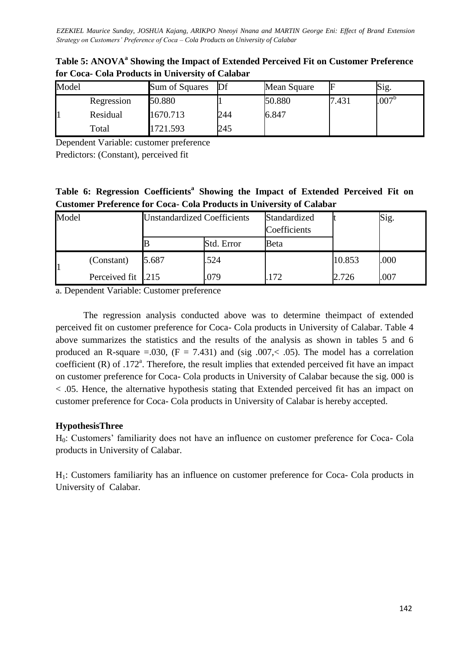| Model |            | Sum of Squares | Df  | Mean Square | F     | Sig.              |
|-------|------------|----------------|-----|-------------|-------|-------------------|
|       | Regression | 50.880         |     | 50.880      | 7.431 | .007 <sup>b</sup> |
|       | Residual   | 1670.713       | 244 | 6.847       |       |                   |
|       | Total      | 1721.593       | 245 |             |       |                   |

Table 5: ANOVA<sup>a</sup> Showing the Impact of Extended Perceived Fit on Customer Preference **for Coca- Cola Products in University of Calabar**

Dependent Variable: customer preference

Predictors: (Constant), perceived fit

|  | Table 6: Regression Coefficients <sup>a</sup> Showing the Impact of Extended Perceived Fit on |  |  |  |  |
|--|-----------------------------------------------------------------------------------------------|--|--|--|--|
|  | <b>Customer Preference for Coca- Cola Products in University of Calabar</b>                   |  |  |  |  |

| Model |                   | <b>Unstandardized Coefficients</b> |            | Standardized<br>Coefficients |        | Sig. |
|-------|-------------------|------------------------------------|------------|------------------------------|--------|------|
|       |                   |                                    | Std. Error | Beta                         |        |      |
|       | (Constant)        | 5.687                              | 524        |                              | 10.853 | .000 |
|       | Perceived fit 215 |                                    | 079        | 172                          | 2.726  | 007  |

a. Dependent Variable: Customer preference

The regression analysis conducted above was to determine theimpact of extended perceived fit on customer preference for Coca- Cola products in University of Calabar. Table 4 above summarizes the statistics and the results of the analysis as shown in tables 5 and 6 produced an R-square =.030,  $(F = 7.431)$  and (sig .007,< .05). The model has a correlation coefficient  $(R)$  of .172<sup>a</sup>. Therefore, the result implies that extended perceived fit have an impact on customer preference for Coca- Cola products in University of Calabar because the sig. 000 is < .05. Hence, the alternative hypothesis stating that Extended perceived fit has an impact on customer preference for Coca- Cola products in University of Calabar is hereby accepted.

## **HypothesisThree**

H0: Customers' familiarity does not have an influence on customer preference for Coca- Cola products in University of Calabar.

H1: Customers familiarity has an influence on customer preference for Coca- Cola products in University of Calabar.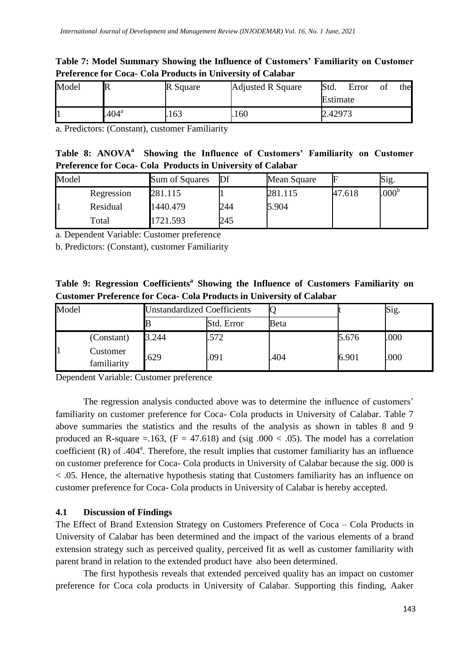## **Table 7: Model Summary Showing the Influence of Customers' Familiarity on Customer Preference for Coca- Cola Products in University of Calabar**

| Model | R              | R Square | <b>Adjusted R Square</b> | Std.     | Error | O1 | thel |
|-------|----------------|----------|--------------------------|----------|-------|----|------|
|       |                |          |                          | Estimate |       |    |      |
| ш     | $.404^{\rm a}$ | .163     | .160                     | 2.42973  |       |    |      |

a. Predictors: (Constant), customer Familiarity

| Table 8: ANOVA <sup>a</sup> Showing the Influence of Customers' Familiarity on Customer |  |  |
|-----------------------------------------------------------------------------------------|--|--|
| Preference for Coca- Cola Products in University of Calabar                             |  |  |

| Model |            | Sum of Squares | Df  | Mean Square | ⊩      | Sig.              |
|-------|------------|----------------|-----|-------------|--------|-------------------|
|       | Regression | 281.115        |     | 281.115     | 47.618 | .000 <sup>b</sup> |
|       | Residual   | 1440.479       | 244 | 5.904       |        |                   |
|       | Total      | 1721.593       | 245 |             |        |                   |

a. Dependent Variable: Customer preference

b. Predictors: (Constant), customer Familiarity

**Table 9: Regression Coefficients<sup>a</sup> Showing the Influence of Customers Familiarity on Customer Preference for Coca- Cola Products in University of Calabar**

| Model |                         | <b>Unstandardized Coefficients</b> |            |      |       | Sig. |
|-------|-------------------------|------------------------------------|------------|------|-------|------|
|       |                         |                                    | Std. Error | Beta |       |      |
|       | (Constant)              | 3.244                              | .572       |      | 5.676 | .000 |
|       | Customer<br>familiarity | .629                               | .091       | .404 | 6.901 | .000 |

Dependent Variable: Customer preference

The regression analysis conducted above was to determine the influence of customers' familiarity on customer preference for Coca- Cola products in University of Calabar. Table 7 above summaries the statistics and the results of the analysis as shown in tables 8 and 9 produced an R-square =.163,  $(F = 47.618)$  and (sig .000 < .05). The model has a correlation coefficient  $(R)$  of .404 $<sup>a</sup>$ . Therefore, the result implies that customer familiarity has an influence</sup> on customer preference for Coca- Cola products in University of Calabar because the sig. 000 is < .05. Hence, the alternative hypothesis stating that Customers familiarity has an influence on customer preference for Coca- Cola products in University of Calabar is hereby accepted.

## **4.1 Discussion of Findings**

The Effect of Brand Extension Strategy on Customers Preference of Coca – Cola Products in University of Calabar has been determined and the impact of the various elements of a brand extension strategy such as perceived quality, perceived fit as well as customer familiarity with parent brand in relation to the extended product have also been determined.

The first hypothesis reveals that extended perceived quality has an impact on customer preference for Coca cola products in University of Calabar. Supporting this finding, Aaker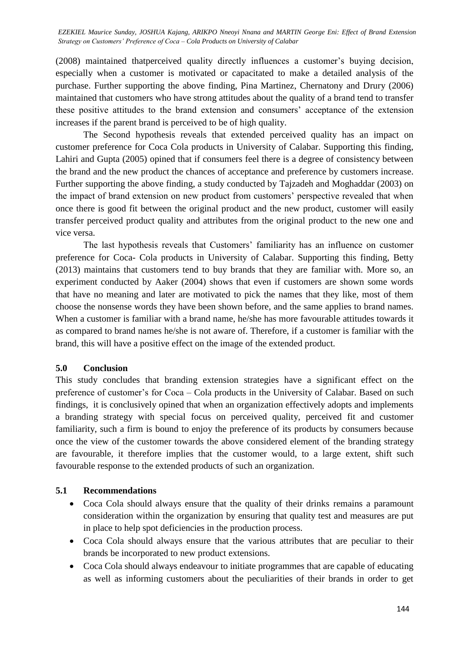(2008) maintained thatperceived quality directly influences a customer's buying decision, especially when a customer is motivated or capacitated to make a detailed analysis of the purchase. Further supporting the above finding, Pina Martinez, Chernatony and Drury (2006) maintained that customers who have strong attitudes about the quality of a brand tend to transfer these positive attitudes to the brand extension and consumers' acceptance of the extension increases if the parent brand is perceived to be of high quality.

The Second hypothesis reveals that extended perceived quality has an impact on customer preference for Coca Cola products in University of Calabar. Supporting this finding, Lahiri and Gupta (2005) opined that if consumers feel there is a degree of consistency between the brand and the new product the chances of acceptance and preference by customers increase. Further supporting the above finding, a study conducted by Tajzadeh and Moghaddar (2003) on the impact of brand extension on new product from customers' perspective revealed that when once there is good fit between the original product and the new product, customer will easily transfer perceived product quality and attributes from the original product to the new one and vice versa.

The last hypothesis reveals that Customers' familiarity has an influence on customer preference for Coca- Cola products in University of Calabar. Supporting this finding, Betty (2013) maintains that customers tend to buy brands that they are familiar with. More so, an experiment conducted by Aaker (2004) shows that even if customers are shown some words that have no meaning and later are motivated to pick the names that they like, most of them choose the nonsense words they have been shown before, and the same applies to brand names. When a customer is familiar with a brand name, he/she has more favourable attitudes towards it as compared to brand names he/she is not aware of. Therefore, if a customer is familiar with the brand, this will have a positive effect on the image of the extended product.

### **5.0 Conclusion**

This study concludes that branding extension strategies have a significant effect on the preference of customer's for Coca – Cola products in the University of Calabar. Based on such findings, it is conclusively opined that when an organization effectively adopts and implements a branding strategy with special focus on perceived quality, perceived fit and customer familiarity, such a firm is bound to enjoy the preference of its products by consumers because once the view of the customer towards the above considered element of the branding strategy are favourable, it therefore implies that the customer would, to a large extent, shift such favourable response to the extended products of such an organization.

### **5.1 Recommendations**

- Coca Cola should always ensure that the quality of their drinks remains a paramount consideration within the organization by ensuring that quality test and measures are put in place to help spot deficiencies in the production process.
- Coca Cola should always ensure that the various attributes that are peculiar to their brands be incorporated to new product extensions.
- Coca Cola should always endeavour to initiate programmes that are capable of educating as well as informing customers about the peculiarities of their brands in order to get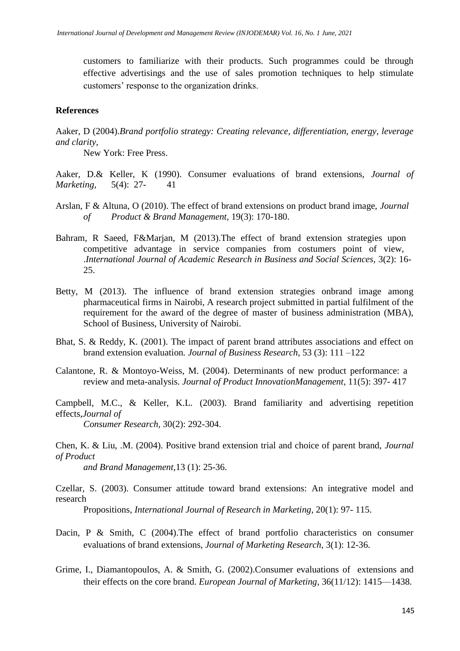customers to familiarize with their products. Such programmes could be through effective advertisings and the use of sales promotion techniques to help stimulate customers' response to the organization drinks.

#### **References**

Aaker, D (2004).*Brand portfolio strategy: Creating relevance, differentiation, energy, leverage and clarity*,

New York: Free Press.

Aaker, D.& Keller, K (1990). Consumer evaluations of brand extensions, *Journal of Marketing*, 5(4): 27- 41

- Arslan, F & Altuna, O (2010). The effect of brand extensions on product brand image, *Journal of Product & Brand Management,* 19(3): 170-180.
- Bahram, R Saeed, F&Marjan, M (2013).The effect of brand extension strategies upon competitive advantage in service companies from costumers point of view, .*International Journal of Academic Research in Business and Social Sciences,* 3(2): 16- 25.
- Betty, M (2013). The influence of brand extension strategies onbrand image among pharmaceutical firms in Nairobi, A research project submitted in partial fulfilment of the requirement for the award of the degree of master of business administration (MBA), School of Business, University of Nairobi.
- Bhat, S. & Reddy, K. (2001). The impact of parent brand attributes associations and effect on brand extension evaluation*. Journal of Business Research*, 53 (3): 111 –122
- Calantone, R. & Montoyo-Weiss, M. (2004). Determinants of new product performance: a review and meta-analysis. *Journal of Product InnovationManagement*, 11(5): 397- 417

Campbell, M.C., & Keller, K.L. (2003). Brand familiarity and advertising repetition effects,*Journal of* 

*Consumer Research,* 30(2): 292-304.

Chen, K. & Liu, .M. (2004). Positive brand extension trial and choice of parent brand, *Journal of Product* 

*and Brand Management*,13 (1): 25-36.

Czellar, S. (2003). Consumer attitude toward brand extensions: An integrative model and research

Propositions, *International Journal of Research in Marketing*, 20(1): 97- 115.

- Dacin, P & Smith, C (2004).The effect of brand portfolio characteristics on consumer evaluations of brand extensions, *Journal of Marketing Research*, 3(1): 12-36.
- Grime, I., Diamantopoulos, A. & Smith, G. (2002).Consumer evaluations of extensions and their effects on the core brand. *European Journal of Marketing*, 36(11/12): 1415—1438.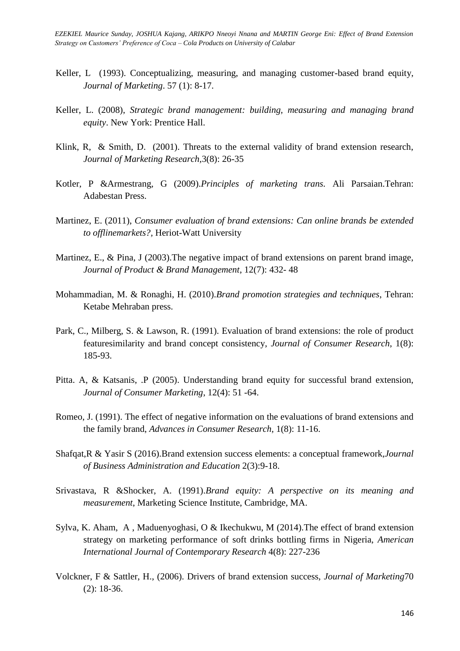- Keller, L (1993). Conceptualizing, measuring, and managing customer-based brand equity, *Journal of Marketing*. 57 (1): 8-17.
- Keller, L. (2008), *Strategic brand management: building, measuring and managing brand equity*. New York: Prentice Hall.
- Klink, R, & Smith, D. (2001). Threats to the external validity of brand extension research, *Journal of Marketing Research,*3(8): 26-35
- Kotler, P &Armestrang, G (2009).*Principles of marketing trans.* Ali Parsaian.Tehran: Adabestan Press.
- Martinez, E. (2011), *Consumer evaluation of brand extensions: Can online brands be extended to offlinemarkets?,* Heriot-Watt University
- Martinez, E., & Pina, J (2003). The negative impact of brand extensions on parent brand image, *Journal of Product & Brand Management*, 12(7): 432- 48
- Mohammadian, M. & Ronaghi, H. (2010).*Brand promotion strategies and techniques*, Tehran: Ketabe Mehraban press.
- Park, C., Milberg, S. & Lawson, R. (1991). Evaluation of brand extensions: the role of product featuresimilarity and brand concept consistency, *Journal of Consumer Research*, 1(8): 185-93.
- Pitta. A, & Katsanis, .P (2005). Understanding brand equity for successful brand extension, *Journal of Consumer Marketing*, 12(4): 51 -64.
- Romeo, J. (1991). The effect of negative information on the evaluations of brand extensions and the family brand, *Advances in Consumer Research,* 1(8): 11-16.
- Shafqat,R & Yasir S (2016).Brand extension success elements: a conceptual framework,*Journal of Business Administration and Education* 2(3):9-18.
- Srivastava, R &Shocker, A. (1991).*Brand equity: A perspective on its meaning and measurement*, Marketing Science Institute, Cambridge, MA.
- Sylva, K. Aham, A , Maduenyoghasi, O & Ikechukwu, M (2014).The effect of brand extension strategy on marketing performance of soft drinks bottling firms in Nigeria, *American International Journal of Contemporary Research* 4(8): 227-236
- Volckner, F & Sattler, H., (2006). Drivers of brand extension success, *Journal of Marketing*70 (2): 18-36.